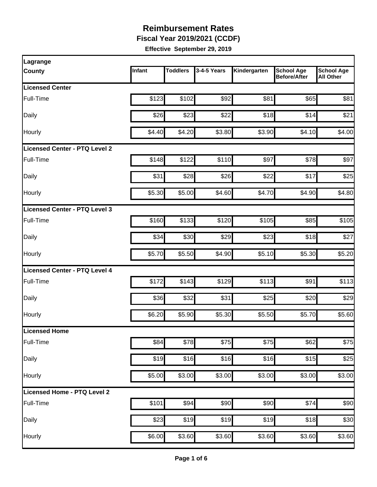**Fiscal Year 2019/2021 (CCDF)**

| Lagrange                             |        |                 |             |              |                                          |                                       |
|--------------------------------------|--------|-----------------|-------------|--------------|------------------------------------------|---------------------------------------|
| <b>County</b>                        | Infant | <b>Toddlers</b> | 3-4-5 Years | Kindergarten | <b>School Age</b><br><b>Before/After</b> | <b>School Age</b><br><b>All Other</b> |
| <b>Licensed Center</b>               |        |                 |             |              |                                          |                                       |
| Full-Time                            | \$123  | \$102           | \$92        | \$81         | \$65                                     | \$81                                  |
| Daily                                | \$26   | \$23            | \$22        | \$18         | \$14                                     | \$21                                  |
| Hourly                               | \$4.40 | \$4.20          | \$3.80      | \$3.90       | \$4.10                                   | \$4.00                                |
| <b>Licensed Center - PTQ Level 2</b> |        |                 |             |              |                                          |                                       |
| Full-Time                            | \$148  | \$122           | \$110       | \$97         | \$78                                     | \$97                                  |
| Daily                                | \$31   | \$28            | \$26        | \$22         | \$17                                     | \$25                                  |
| Hourly                               | \$5.30 | \$5.00          | \$4.60      | \$4.70       | \$4.90                                   | \$4.80                                |
| Licensed Center - PTQ Level 3        |        |                 |             |              |                                          |                                       |
| Full-Time                            | \$160  | \$133           | \$120       | \$105        | \$85                                     | \$105                                 |
| Daily                                | \$34   | \$30            | \$29        | \$23         | \$18                                     | \$27                                  |
| Hourly                               | \$5.70 | \$5.50          | \$4.90      | \$5.10       | \$5.30                                   | \$5.20                                |
| <b>Licensed Center - PTQ Level 4</b> |        |                 |             |              |                                          |                                       |
| Full-Time                            | \$172  | \$143           | \$129       | \$113        | \$91                                     | \$113                                 |
| Daily                                | \$36   | \$32            | \$31        | \$25         | \$20                                     | \$29                                  |
| Hourly                               | \$6.20 | \$5.90          | \$5.30      | \$5.50       | \$5.70                                   | \$5.60                                |
| Licensed Home                        |        |                 |             |              |                                          |                                       |
| Full-Time                            | \$84   | \$78            | \$75        | \$75         | \$62                                     | \$75                                  |
| Daily                                | \$19   | \$16            | \$16        | \$16         | \$15                                     | \$25                                  |
| Hourly                               | \$5.00 | \$3.00          | \$3.00      | \$3.00       | \$3.00                                   | \$3.00                                |
| Licensed Home - PTQ Level 2          |        |                 |             |              |                                          |                                       |
| Full-Time                            | \$101  | \$94            | \$90        | \$90         | \$74                                     | \$90                                  |
| Daily                                | \$23   | \$19            | \$19        | \$19         | \$18                                     | \$30                                  |
| Hourly                               | \$6.00 | \$3.60          | \$3.60      | \$3.60       | \$3.60                                   | \$3.60                                |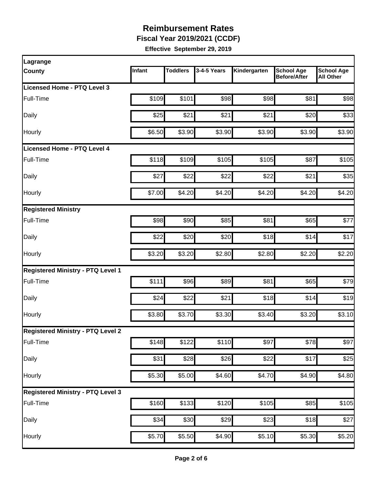**Fiscal Year 2019/2021 (CCDF)**

| Lagrange                                 |        |                 |                  |                    |                                          |                                       |
|------------------------------------------|--------|-----------------|------------------|--------------------|------------------------------------------|---------------------------------------|
| <b>County</b>                            | Infant | <b>Toddlers</b> | 3-4-5 Years      | Kindergarten       | <b>School Age</b><br><b>Before/After</b> | <b>School Age</b><br><b>All Other</b> |
| Licensed Home - PTQ Level 3              |        |                 |                  |                    |                                          |                                       |
| Full-Time                                | \$109  | \$101           | \$98             | \$98               | \$81                                     | \$98                                  |
| Daily                                    | \$25   | \$21            | \$21             | \$21               | \$20                                     | \$33                                  |
| Hourly                                   | \$6.50 | \$3.90          | \$3.90           | \$3.90             | \$3.90                                   | \$3.90                                |
| Licensed Home - PTQ Level 4              |        |                 |                  |                    |                                          |                                       |
| Full-Time                                | \$118  | \$109           | \$105            | \$105              | \$87                                     | \$105                                 |
| Daily                                    | \$27   | \$22            | \$22             | \$22               | \$21                                     | \$35                                  |
| Hourly                                   | \$7.00 | \$4.20          | \$4.20           | \$4.20             | \$4.20                                   | \$4.20                                |
| <b>Registered Ministry</b>               |        |                 |                  |                    |                                          |                                       |
| Full-Time                                | \$98   | \$90            | \$85             | \$81               | \$65                                     | \$77                                  |
| Daily                                    | \$22   | \$20            | \$20             | \$18               | \$14                                     | \$17                                  |
| Hourly                                   | \$3.20 | \$3.20          | \$2.80           | \$2.80             | \$2.20                                   | \$2.20                                |
| <b>Registered Ministry - PTQ Level 1</b> |        |                 |                  |                    |                                          |                                       |
| Full-Time                                | \$111  | \$96            | \$89             | \$81               | \$65                                     | \$79                                  |
| Daily                                    | \$24   | \$22            | \$21             | \$18               | \$14                                     | \$19                                  |
| Hourly                                   | \$3.80 | \$3.70          | \$3.30           | \$3.40             | \$3.20                                   | \$3.10                                |
| <b>Registered Ministry - PTQ Level 2</b> |        |                 |                  |                    |                                          |                                       |
| Full-Time                                | \$148  | \$122           | \$110            | \$97               | \$78                                     | \$97                                  |
| Daily                                    | \$31   | \$28            | $\overline{$}26$ | \$22               | \$17                                     | \$25                                  |
| Hourly                                   | \$5.30 | \$5.00          | \$4.60           | \$4.70             | \$4.90                                   | \$4.80                                |
| <b>Registered Ministry - PTQ Level 3</b> |        |                 |                  |                    |                                          |                                       |
| Full-Time                                | \$160  | \$133           | \$120            | \$105              | $\overline{$85}$                         | \$105                                 |
| Daily                                    | \$34   | \$30            | $\overline{$}29$ | \$23               | \$18                                     | \$27                                  |
| Hourly                                   | \$5.70 | \$5.50          | \$4.90           | $\overline{$5.10}$ | \$5.30                                   | \$5.20                                |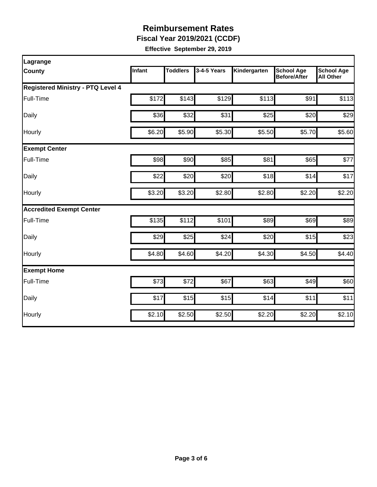**Fiscal Year 2019/2021 (CCDF)**

| Lagrange                                 |        |                 |             |              |                                          |                                       |  |  |  |
|------------------------------------------|--------|-----------------|-------------|--------------|------------------------------------------|---------------------------------------|--|--|--|
| <b>County</b>                            | Infant | <b>Toddlers</b> | 3-4-5 Years | Kindergarten | <b>School Age</b><br><b>Before/After</b> | <b>School Age</b><br><b>All Other</b> |  |  |  |
| <b>Registered Ministry - PTQ Level 4</b> |        |                 |             |              |                                          |                                       |  |  |  |
| Full-Time                                | \$172  | \$143           | \$129       | \$113        | \$91                                     | \$113                                 |  |  |  |
| Daily                                    | \$36   | \$32            | \$31        | \$25         | \$20                                     | \$29                                  |  |  |  |
| Hourly                                   | \$6.20 | \$5.90          | \$5.30      | \$5.50       | \$5.70                                   | \$5.60                                |  |  |  |
| <b>Exempt Center</b>                     |        |                 |             |              |                                          |                                       |  |  |  |
| Full-Time                                | \$98   | \$90            | \$85        | \$81         | \$65                                     | \$77                                  |  |  |  |
| Daily                                    | \$22   | \$20            | \$20        | \$18         | \$14                                     | \$17                                  |  |  |  |
| Hourly                                   | \$3.20 | \$3.20          | \$2.80      | \$2.80       | \$2.20                                   | \$2.20                                |  |  |  |
| <b>Accredited Exempt Center</b>          |        |                 |             |              |                                          |                                       |  |  |  |
| Full-Time                                | \$135  | \$112           | \$101       | \$89         | \$69                                     | \$89                                  |  |  |  |
| Daily                                    | \$29   | \$25            | \$24        | \$20         | \$15                                     | \$23                                  |  |  |  |
| Hourly                                   | \$4.80 | \$4.60          | \$4.20      | \$4.30       | \$4.50                                   | \$4.40                                |  |  |  |
| <b>Exempt Home</b>                       |        |                 |             |              |                                          |                                       |  |  |  |
| Full-Time                                | \$73   | \$72            | \$67        | \$63         | \$49                                     | \$60                                  |  |  |  |
| Daily                                    | \$17   | \$15            | \$15        | \$14         | \$11                                     | \$11                                  |  |  |  |
| Hourly                                   | \$2.10 | \$2.50          | \$2.50      | \$2.20       | \$2.20                                   | \$2.10                                |  |  |  |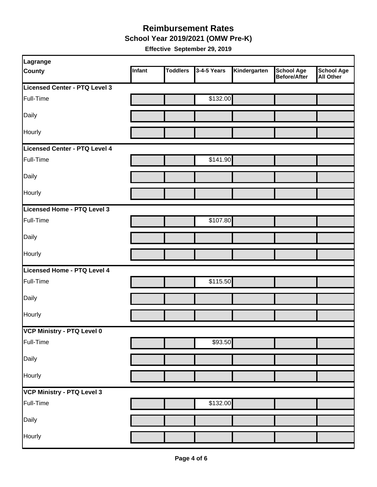**School Year 2019/2021 (OMW Pre-K)**

| Lagrange                      |        |                 |             |              |                                   |                                       |
|-------------------------------|--------|-----------------|-------------|--------------|-----------------------------------|---------------------------------------|
| <b>County</b>                 | Infant | <b>Toddlers</b> | 3-4-5 Years | Kindergarten | <b>School Age</b><br>Before/After | <b>School Age</b><br><b>All Other</b> |
| Licensed Center - PTQ Level 3 |        |                 |             |              |                                   |                                       |
| Full-Time                     |        |                 | \$132.00    |              |                                   |                                       |
| Daily                         |        |                 |             |              |                                   |                                       |
| Hourly                        |        |                 |             |              |                                   |                                       |
| Licensed Center - PTQ Level 4 |        |                 |             |              |                                   |                                       |
| Full-Time                     |        |                 | \$141.90    |              |                                   |                                       |
| Daily                         |        |                 |             |              |                                   |                                       |
| Hourly                        |        |                 |             |              |                                   |                                       |
| Licensed Home - PTQ Level 3   |        |                 |             |              |                                   |                                       |
| Full-Time                     |        |                 | \$107.80    |              |                                   |                                       |
| Daily                         |        |                 |             |              |                                   |                                       |
| Hourly                        |        |                 |             |              |                                   |                                       |
| Licensed Home - PTQ Level 4   |        |                 |             |              |                                   |                                       |
| Full-Time                     |        |                 | \$115.50    |              |                                   |                                       |
| Daily                         |        |                 |             |              |                                   |                                       |
| Hourly                        |        |                 |             |              |                                   |                                       |
| VCP Ministry - PTQ Level 0    |        |                 |             |              |                                   |                                       |
| Full-Time                     |        |                 | \$93.50     |              |                                   |                                       |
| Daily                         |        |                 |             |              |                                   |                                       |
| Hourly                        |        |                 |             |              |                                   |                                       |
| VCP Ministry - PTQ Level 3    |        |                 |             |              |                                   |                                       |
| Full-Time                     |        |                 | \$132.00    |              |                                   |                                       |
| Daily                         |        |                 |             |              |                                   |                                       |
| Hourly                        |        |                 |             |              |                                   |                                       |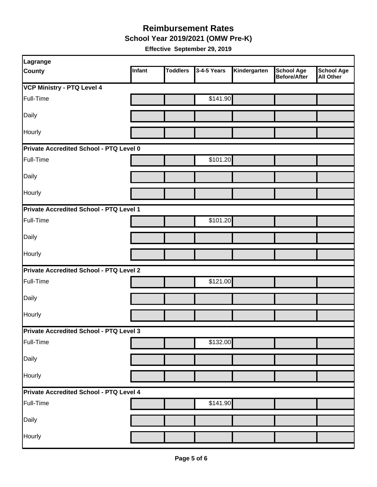**School Year 2019/2021 (OMW Pre-K)**

| Lagrange                                |        |                 |             |              |                                          |                                       |
|-----------------------------------------|--------|-----------------|-------------|--------------|------------------------------------------|---------------------------------------|
| <b>County</b>                           | Infant | <b>Toddlers</b> | 3-4-5 Years | Kindergarten | <b>School Age</b><br><b>Before/After</b> | <b>School Age</b><br><b>All Other</b> |
| <b>VCP Ministry - PTQ Level 4</b>       |        |                 |             |              |                                          |                                       |
| Full-Time                               |        |                 | \$141.90    |              |                                          |                                       |
| Daily                                   |        |                 |             |              |                                          |                                       |
| Hourly                                  |        |                 |             |              |                                          |                                       |
| Private Accredited School - PTQ Level 0 |        |                 |             |              |                                          |                                       |
| Full-Time                               |        |                 | \$101.20    |              |                                          |                                       |
| Daily                                   |        |                 |             |              |                                          |                                       |
| Hourly                                  |        |                 |             |              |                                          |                                       |
| Private Accredited School - PTQ Level 1 |        |                 |             |              |                                          |                                       |
| Full-Time                               |        |                 | \$101.20    |              |                                          |                                       |
| Daily                                   |        |                 |             |              |                                          |                                       |
| Hourly                                  |        |                 |             |              |                                          |                                       |
| Private Accredited School - PTQ Level 2 |        |                 |             |              |                                          |                                       |
| Full-Time                               |        |                 | \$121.00    |              |                                          |                                       |
| Daily                                   |        |                 |             |              |                                          |                                       |
| Hourly                                  |        |                 |             |              |                                          |                                       |
| Private Accredited School - PTQ Level 3 |        |                 |             |              |                                          |                                       |
| Full-Time                               |        |                 | \$132.00    |              |                                          |                                       |
| Daily                                   |        |                 |             |              |                                          |                                       |
| Hourly                                  |        |                 |             |              |                                          |                                       |
| Private Accredited School - PTQ Level 4 |        |                 |             |              |                                          |                                       |
| Full-Time                               |        |                 | \$141.90    |              |                                          |                                       |
| Daily                                   |        |                 |             |              |                                          |                                       |
| Hourly                                  |        |                 |             |              |                                          |                                       |